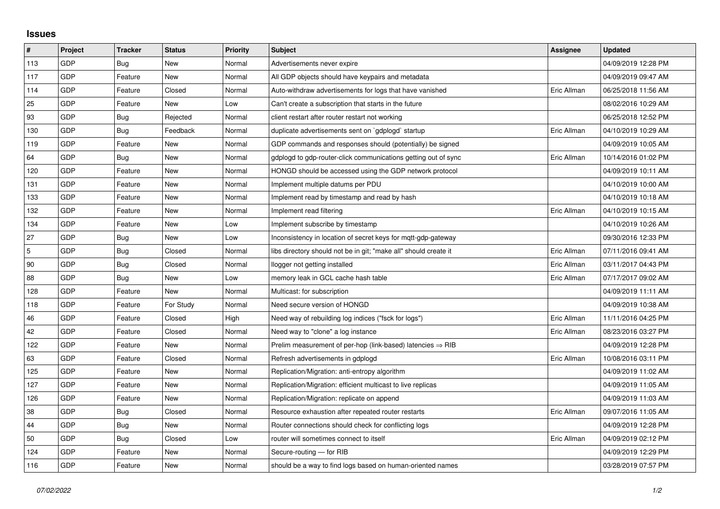## **Issues**

| #   | Project    | <b>Tracker</b> | <b>Status</b> | <b>Priority</b> | <b>Subject</b>                                                         | Assignee    | <b>Updated</b>      |
|-----|------------|----------------|---------------|-----------------|------------------------------------------------------------------------|-------------|---------------------|
| 113 | GDP        | Bug            | <b>New</b>    | Normal          | Advertisements never expire                                            |             | 04/09/2019 12:28 PM |
| 117 | GDP        | Feature        | New           | Normal          | All GDP objects should have keypairs and metadata                      |             | 04/09/2019 09:47 AM |
| 114 | GDP        | Feature        | Closed        | Normal          | Auto-withdraw advertisements for logs that have vanished               | Eric Allman | 06/25/2018 11:56 AM |
| 25  | GDP        | Feature        | <b>New</b>    | Low             | Can't create a subscription that starts in the future                  |             | 08/02/2016 10:29 AM |
| 93  | GDP        | Bug            | Rejected      | Normal          | client restart after router restart not working                        |             | 06/25/2018 12:52 PM |
| 130 | GDP        | Bug            | Feedback      | Normal          | duplicate advertisements sent on `gdplogd` startup                     | Eric Allman | 04/10/2019 10:29 AM |
| 119 | GDP        | Feature        | <b>New</b>    | Normal          | GDP commands and responses should (potentially) be signed              |             | 04/09/2019 10:05 AM |
| 64  | GDP        | Bug            | New           | Normal          | gdplogd to gdp-router-click communications getting out of sync         | Eric Allman | 10/14/2016 01:02 PM |
| 120 | GDP        | Feature        | New           | Normal          | HONGD should be accessed using the GDP network protocol                |             | 04/09/2019 10:11 AM |
| 131 | GDP        | Feature        | New           | Normal          | Implement multiple datums per PDU                                      |             | 04/10/2019 10:00 AM |
| 133 | GDP        | Feature        | New           | Normal          | Implement read by timestamp and read by hash                           |             | 04/10/2019 10:18 AM |
| 132 | GDP        | Feature        | New           | Normal          | Implement read filtering                                               | Eric Allman | 04/10/2019 10:15 AM |
| 134 | GDP        | Feature        | New           | Low             | Implement subscribe by timestamp                                       |             | 04/10/2019 10:26 AM |
| 27  | GDP        | Bug            | New           | Low             | Inconsistency in location of secret keys for mqtt-gdp-gateway          |             | 09/30/2016 12:33 PM |
| 5   | GDP        | <b>Bug</b>     | Closed        | Normal          | libs directory should not be in git; "make all" should create it       | Eric Allman | 07/11/2016 09:41 AM |
| 90  | GDP        | Bug            | Closed        | Normal          | llogger not getting installed                                          | Eric Allman | 03/11/2017 04:43 PM |
| 88  | GDP        | Bug            | New           | Low             | memory leak in GCL cache hash table                                    | Eric Allman | 07/17/2017 09:02 AM |
| 128 | GDP        | Feature        | <b>New</b>    | Normal          | Multicast: for subscription                                            |             | 04/09/2019 11:11 AM |
| 118 | GDP        | Feature        | For Study     | Normal          | Need secure version of HONGD                                           |             | 04/09/2019 10:38 AM |
| 46  | GDP        | Feature        | Closed        | High            | Need way of rebuilding log indices ("fsck for logs")                   | Eric Allman | 11/11/2016 04:25 PM |
| 42  | GDP        | Feature        | Closed        | Normal          | Need way to "clone" a log instance                                     | Eric Allman | 08/23/2016 03:27 PM |
| 122 | GDP        | Feature        | <b>New</b>    | Normal          | Prelim measurement of per-hop (link-based) latencies $\Rightarrow$ RIB |             | 04/09/2019 12:28 PM |
| 63  | GDP        | Feature        | Closed        | Normal          | Refresh advertisements in gdplogd                                      | Eric Allman | 10/08/2016 03:11 PM |
| 125 | GDP        | Feature        | New           | Normal          | Replication/Migration: anti-entropy algorithm                          |             | 04/09/2019 11:02 AM |
| 127 | <b>GDP</b> | Feature        | New           | Normal          | Replication/Migration: efficient multicast to live replicas            |             | 04/09/2019 11:05 AM |
| 126 | GDP        | Feature        | New           | Normal          | Replication/Migration: replicate on append                             |             | 04/09/2019 11:03 AM |
| 38  | GDP        | <b>Bug</b>     | Closed        | Normal          | Resource exhaustion after repeated router restarts                     | Eric Allman | 09/07/2016 11:05 AM |
| 44  | <b>GDP</b> | <b>Bug</b>     | <b>New</b>    | Normal          | Router connections should check for conflicting logs                   |             | 04/09/2019 12:28 PM |
| 50  | GDP        | Bug            | Closed        | Low             | router will sometimes connect to itself                                | Eric Allman | 04/09/2019 02:12 PM |
| 124 | GDP        | Feature        | New           | Normal          | Secure-routing - for RIB                                               |             | 04/09/2019 12:29 PM |
| 116 | GDP        | Feature        | New           | Normal          | should be a way to find logs based on human-oriented names             |             | 03/28/2019 07:57 PM |